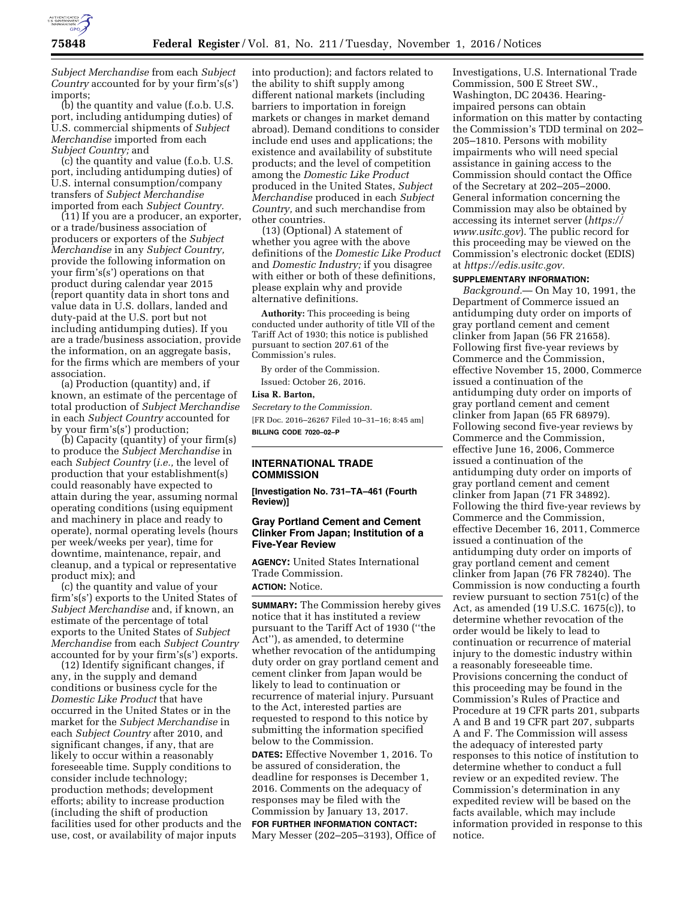

*Subject Merchandise* from each *Subject Country* accounted for by your firm's(s') imports;

(b) the quantity and value (f.o.b. U.S. port, including antidumping duties) of U.S. commercial shipments of *Subject Merchandise* imported from each *Subject Country;* and

(c) the quantity and value (f.o.b. U.S. port, including antidumping duties) of U.S. internal consumption/company transfers of *Subject Merchandise*  imported from each *Subject Country.* 

(11) If you are a producer, an exporter, or a trade/business association of producers or exporters of the *Subject Merchandise* in any *Subject Country,*  provide the following information on your firm's(s') operations on that product during calendar year 2015 (report quantity data in short tons and value data in U.S. dollars, landed and duty-paid at the U.S. port but not including antidumping duties). If you are a trade/business association, provide the information, on an aggregate basis, for the firms which are members of your association.

(a) Production (quantity) and, if known, an estimate of the percentage of total production of *Subject Merchandise*  in each *Subject Country* accounted for by your firm's(s') production;

(b) Capacity (quantity) of your firm(s) to produce the *Subject Merchandise* in each *Subject Country* (*i.e.,* the level of production that your establishment(s) could reasonably have expected to attain during the year, assuming normal operating conditions (using equipment and machinery in place and ready to operate), normal operating levels (hours per week/weeks per year), time for downtime, maintenance, repair, and cleanup, and a typical or representative product mix); and

(c) the quantity and value of your firm's(s') exports to the United States of *Subject Merchandise* and, if known, an estimate of the percentage of total exports to the United States of *Subject Merchandise* from each *Subject Country*  accounted for by your firm's(s') exports.

(12) Identify significant changes, if any, in the supply and demand conditions or business cycle for the *Domestic Like Product* that have occurred in the United States or in the market for the *Subject Merchandise* in each *Subject Country* after 2010, and significant changes, if any, that are likely to occur within a reasonably foreseeable time. Supply conditions to consider include technology; production methods; development efforts; ability to increase production (including the shift of production facilities used for other products and the use, cost, or availability of major inputs

into production); and factors related to the ability to shift supply among different national markets (including barriers to importation in foreign markets or changes in market demand abroad). Demand conditions to consider include end uses and applications; the existence and availability of substitute products; and the level of competition among the *Domestic Like Product*  produced in the United States, *Subject Merchandise* produced in each *Subject Country,* and such merchandise from other countries.

(13) (Optional) A statement of whether you agree with the above definitions of the *Domestic Like Product*  and *Domestic Industry;* if you disagree with either or both of these definitions, please explain why and provide alternative definitions.

**Authority:** This proceeding is being conducted under authority of title VII of the Tariff Act of 1930; this notice is published pursuant to section 207.61 of the Commission's rules.

By order of the Commission. Issued: October 26, 2016.

### **Lisa R. Barton,**

*Secretary to the Commission.*  [FR Doc. 2016–26267 Filed 10–31–16; 8:45 am] **BILLING CODE 7020–02–P** 

## **INTERNATIONAL TRADE COMMISSION**

**[Investigation No. 731–TA–461 (Fourth Review)]** 

# **Gray Portland Cement and Cement Clinker From Japan; Institution of a Five-Year Review**

**AGENCY:** United States International Trade Commission. **ACTION:** Notice.

**SUMMARY:** The Commission hereby gives notice that it has instituted a review pursuant to the Tariff Act of 1930 (''the Act''), as amended, to determine whether revocation of the antidumping duty order on gray portland cement and cement clinker from Japan would be likely to lead to continuation or recurrence of material injury. Pursuant to the Act, interested parties are requested to respond to this notice by submitting the information specified below to the Commission.

**DATES:** Effective November 1, 2016. To be assured of consideration, the deadline for responses is December 1, 2016. Comments on the adequacy of responses may be filed with the Commission by January 13, 2017. **FOR FURTHER INFORMATION CONTACT:**  Mary Messer (202–205–3193), Office of Investigations, U.S. International Trade Commission, 500 E Street SW., Washington, DC 20436. Hearingimpaired persons can obtain information on this matter by contacting the Commission's TDD terminal on 202– 205–1810. Persons with mobility impairments who will need special assistance in gaining access to the Commission should contact the Office of the Secretary at 202–205–2000. General information concerning the Commission may also be obtained by accessing its internet server (*[https://](https://www.usitc.gov) [www.usitc.gov](https://www.usitc.gov)*). The public record for this proceeding may be viewed on the Commission's electronic docket (EDIS) at *[https://edis.usitc.gov.](https://edis.usitc.gov)* 

## **SUPPLEMENTARY INFORMATION:**

*Background.*— On May 10, 1991, the Department of Commerce issued an antidumping duty order on imports of gray portland cement and cement clinker from Japan (56 FR 21658). Following first five-year reviews by Commerce and the Commission, effective November 15, 2000, Commerce issued a continuation of the antidumping duty order on imports of gray portland cement and cement clinker from Japan (65 FR 68979). Following second five-year reviews by Commerce and the Commission, effective June 16, 2006, Commerce issued a continuation of the antidumping duty order on imports of gray portland cement and cement clinker from Japan (71 FR 34892). Following the third five-year reviews by Commerce and the Commission, effective December 16, 2011, Commerce issued a continuation of the antidumping duty order on imports of gray portland cement and cement clinker from Japan (76 FR 78240). The Commission is now conducting a fourth review pursuant to section 751(c) of the Act, as amended (19 U.S.C. 1675(c)), to determine whether revocation of the order would be likely to lead to continuation or recurrence of material injury to the domestic industry within a reasonably foreseeable time. Provisions concerning the conduct of this proceeding may be found in the Commission's Rules of Practice and Procedure at 19 CFR parts 201, subparts A and B and 19 CFR part 207, subparts A and F. The Commission will assess the adequacy of interested party responses to this notice of institution to determine whether to conduct a full review or an expedited review. The Commission's determination in any expedited review will be based on the facts available, which may include information provided in response to this notice.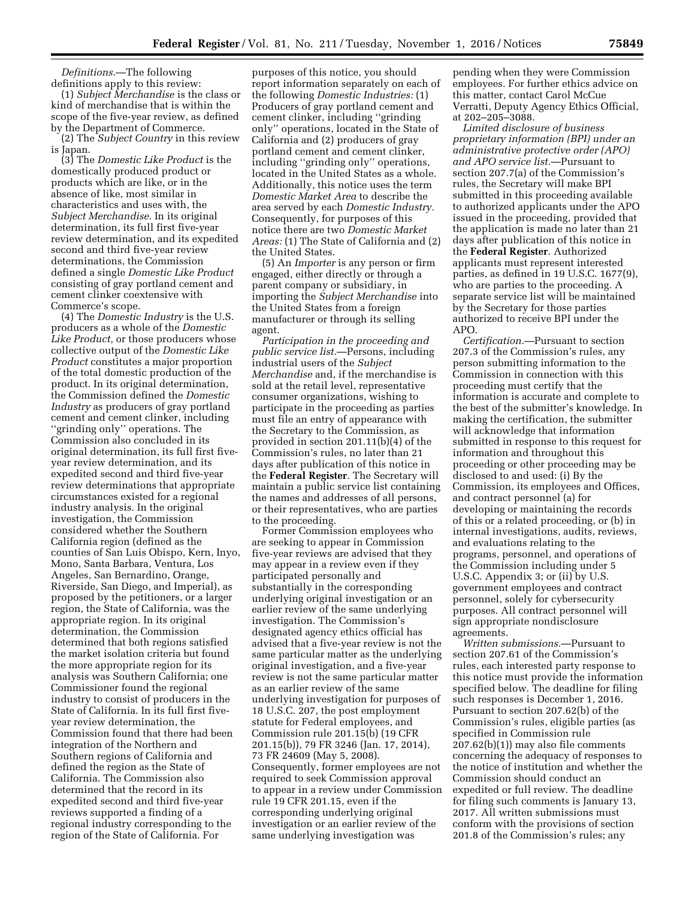*Definitions.*—The following definitions apply to this review:

(1) *Subject Merchandise* is the class or kind of merchandise that is within the scope of the five-year review, as defined by the Department of Commerce.

(2) The *Subject Country* in this review is Japan.

(3) The *Domestic Like Product* is the domestically produced product or products which are like, or in the absence of like, most similar in characteristics and uses with, the *Subject Merchandise.* In its original determination, its full first five-year review determination, and its expedited second and third five-year review determinations, the Commission defined a single *Domestic Like Product*  consisting of gray portland cement and cement clinker coextensive with Commerce's scope.

(4) The *Domestic Industry* is the U.S. producers as a whole of the *Domestic Like Product,* or those producers whose collective output of the *Domestic Like Product* constitutes a major proportion of the total domestic production of the product. In its original determination, the Commission defined the *Domestic Industry* as producers of gray portland cement and cement clinker, including ''grinding only'' operations. The Commission also concluded in its original determination, its full first fiveyear review determination, and its expedited second and third five-year review determinations that appropriate circumstances existed for a regional industry analysis. In the original investigation, the Commission considered whether the Southern California region (defined as the counties of San Luis Obispo, Kern, Inyo, Mono, Santa Barbara, Ventura, Los Angeles, San Bernardino, Orange, Riverside, San Diego, and Imperial), as proposed by the petitioners, or a larger region, the State of California, was the appropriate region. In its original determination, the Commission determined that both regions satisfied the market isolation criteria but found the more appropriate region for its analysis was Southern California; one Commissioner found the regional industry to consist of producers in the State of California. In its full first fiveyear review determination, the Commission found that there had been integration of the Northern and Southern regions of California and defined the region as the State of California. The Commission also determined that the record in its expedited second and third five-year reviews supported a finding of a regional industry corresponding to the region of the State of California. For

purposes of this notice, you should report information separately on each of the following *Domestic Industries:* (1) Producers of gray portland cement and cement clinker, including ''grinding only'' operations, located in the State of California and (2) producers of gray portland cement and cement clinker, including ''grinding only'' operations, located in the United States as a whole. Additionally, this notice uses the term *Domestic Market Area* to describe the area served by each *Domestic Industry.*  Consequently, for purposes of this notice there are two *Domestic Market Areas:* (1) The State of California and (2) the United States.

(5) An *Importer* is any person or firm engaged, either directly or through a parent company or subsidiary, in importing the *Subject Merchandise* into the United States from a foreign manufacturer or through its selling agent.

*Participation in the proceeding and public service list.*—Persons, including industrial users of the *Subject Merchandise* and, if the merchandise is sold at the retail level, representative consumer organizations, wishing to participate in the proceeding as parties must file an entry of appearance with the Secretary to the Commission, as provided in section 201.11(b)(4) of the Commission's rules, no later than 21 days after publication of this notice in the **Federal Register**. The Secretary will maintain a public service list containing the names and addresses of all persons, or their representatives, who are parties to the proceeding.

Former Commission employees who are seeking to appear in Commission five-year reviews are advised that they may appear in a review even if they participated personally and substantially in the corresponding underlying original investigation or an earlier review of the same underlying investigation. The Commission's designated agency ethics official has advised that a five-year review is not the same particular matter as the underlying original investigation, and a five-year review is not the same particular matter as an earlier review of the same underlying investigation for purposes of 18 U.S.C. 207, the post employment statute for Federal employees, and Commission rule 201.15(b) (19 CFR 201.15(b)), 79 FR 3246 (Jan. 17, 2014), 73 FR 24609 (May 5, 2008). Consequently, former employees are not required to seek Commission approval to appear in a review under Commission rule 19 CFR 201.15, even if the corresponding underlying original investigation or an earlier review of the same underlying investigation was

pending when they were Commission employees. For further ethics advice on this matter, contact Carol McCue Verratti, Deputy Agency Ethics Official, at 202–205–3088.

*Limited disclosure of business proprietary information (BPI) under an administrative protective order (APO) and APO service list.*—Pursuant to section 207.7(a) of the Commission's rules, the Secretary will make BPI submitted in this proceeding available to authorized applicants under the APO issued in the proceeding, provided that the application is made no later than 21 days after publication of this notice in the **Federal Register**. Authorized applicants must represent interested parties, as defined in 19 U.S.C. 1677(9), who are parties to the proceeding. A separate service list will be maintained by the Secretary for those parties authorized to receive BPI under the APO.

*Certification.*—Pursuant to section 207.3 of the Commission's rules, any person submitting information to the Commission in connection with this proceeding must certify that the information is accurate and complete to the best of the submitter's knowledge. In making the certification, the submitter will acknowledge that information submitted in response to this request for information and throughout this proceeding or other proceeding may be disclosed to and used: (i) By the Commission, its employees and Offices, and contract personnel (a) for developing or maintaining the records of this or a related proceeding, or (b) in internal investigations, audits, reviews, and evaluations relating to the programs, personnel, and operations of the Commission including under 5 U.S.C. Appendix 3; or (ii) by U.S. government employees and contract personnel, solely for cybersecurity purposes. All contract personnel will sign appropriate nondisclosure agreements.

*Written submissions.*—Pursuant to section 207.61 of the Commission's rules, each interested party response to this notice must provide the information specified below. The deadline for filing such responses is December 1, 2016. Pursuant to section 207.62(b) of the Commission's rules, eligible parties (as specified in Commission rule 207.62(b)(1)) may also file comments concerning the adequacy of responses to the notice of institution and whether the Commission should conduct an expedited or full review. The deadline for filing such comments is January 13, 2017. All written submissions must conform with the provisions of section 201.8 of the Commission's rules; any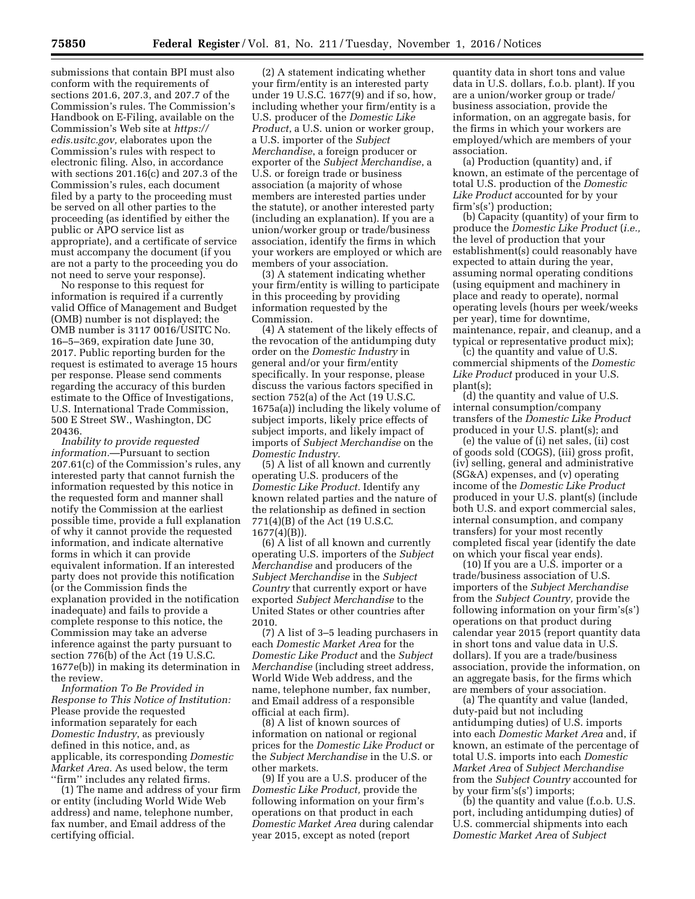submissions that contain BPI must also conform with the requirements of sections 201.6, 207.3, and 207.7 of the Commission's rules. The Commission's Handbook on E-Filing, available on the Commission's Web site at *[https://](https://edis.usitc.gov) [edis.usitc.gov,](https://edis.usitc.gov)* elaborates upon the Commission's rules with respect to electronic filing. Also, in accordance with sections 201.16(c) and 207.3 of the Commission's rules, each document filed by a party to the proceeding must be served on all other parties to the proceeding (as identified by either the public or APO service list as appropriate), and a certificate of service must accompany the document (if you are not a party to the proceeding you do not need to serve your response).

No response to this request for information is required if a currently valid Office of Management and Budget (OMB) number is not displayed; the OMB number is 3117 0016/USITC No. 16–5–369, expiration date June 30, 2017. Public reporting burden for the request is estimated to average 15 hours per response. Please send comments regarding the accuracy of this burden estimate to the Office of Investigations, U.S. International Trade Commission, 500 E Street SW., Washington, DC 20436.

*Inability to provide requested information.*—Pursuant to section 207.61(c) of the Commission's rules, any interested party that cannot furnish the information requested by this notice in the requested form and manner shall notify the Commission at the earliest possible time, provide a full explanation of why it cannot provide the requested information, and indicate alternative forms in which it can provide equivalent information. If an interested party does not provide this notification (or the Commission finds the explanation provided in the notification inadequate) and fails to provide a complete response to this notice, the Commission may take an adverse inference against the party pursuant to section 776(b) of the Act (19 U.S.C. 1677e(b)) in making its determination in the review.

*Information To Be Provided in Response to This Notice of Institution:*  Please provide the requested information separately for each *Domestic Industry*, as previously defined in this notice, and, as applicable, its corresponding *Domestic Market Area.* As used below, the term ''firm'' includes any related firms.

(1) The name and address of your firm or entity (including World Wide Web address) and name, telephone number, fax number, and Email address of the certifying official.

(2) A statement indicating whether your firm/entity is an interested party under 19 U.S.C. 1677(9) and if so, how, including whether your firm/entity is a U.S. producer of the *Domestic Like Product*, a U.S. union or worker group, a U.S. importer of the *Subject Merchandise*, a foreign producer or exporter of the *Subject Merchandise*, a U.S. or foreign trade or business association (a majority of whose members are interested parties under the statute), or another interested party (including an explanation). If you are a union/worker group or trade/business association, identify the firms in which your workers are employed or which are members of your association.

(3) A statement indicating whether your firm/entity is willing to participate in this proceeding by providing information requested by the Commission.

(4) A statement of the likely effects of the revocation of the antidumping duty order on the *Domestic Industry* in general and/or your firm/entity specifically. In your response, please discuss the various factors specified in section 752(a) of the Act (19 U.S.C. 1675a(a)) including the likely volume of subject imports, likely price effects of subject imports, and likely impact of imports of *Subject Merchandise* on the *Domestic Industry.* 

(5) A list of all known and currently operating U.S. producers of the *Domestic Like Product.* Identify any known related parties and the nature of the relationship as defined in section 771(4)(B) of the Act (19 U.S.C. 1677(4)(B)).

(6) A list of all known and currently operating U.S. importers of the *Subject Merchandise* and producers of the *Subject Merchandise* in the *Subject Country* that currently export or have exported *Subject Merchandise* to the United States or other countries after 2010.

(7) A list of 3–5 leading purchasers in each *Domestic Market Area* for the *Domestic Like Product* and the *Subject Merchandise* (including street address, World Wide Web address, and the name, telephone number, fax number, and Email address of a responsible official at each firm).

(8) A list of known sources of information on national or regional prices for the *Domestic Like Product* or the *Subject Merchandise* in the U.S. or other markets.

(9) If you are a U.S. producer of the *Domestic Like Product,* provide the following information on your firm's operations on that product in each *Domestic Market Area* during calendar year 2015, except as noted (report

quantity data in short tons and value data in U.S. dollars, f.o.b. plant). If you are a union/worker group or trade/ business association, provide the information, on an aggregate basis, for the firms in which your workers are employed/which are members of your association.

(a) Production (quantity) and, if known, an estimate of the percentage of total U.S. production of the *Domestic Like Product* accounted for by your firm's(s') production;

(b) Capacity (quantity) of your firm to produce the *Domestic Like Product* (*i.e.,*  the level of production that your establishment(s) could reasonably have expected to attain during the year, assuming normal operating conditions (using equipment and machinery in place and ready to operate), normal operating levels (hours per week/weeks per year), time for downtime, maintenance, repair, and cleanup, and a typical or representative product mix);

(c) the quantity and value of U.S. commercial shipments of the *Domestic Like Product* produced in your U.S. plant(s);

(d) the quantity and value of U.S. internal consumption/company transfers of the *Domestic Like Product*  produced in your U.S. plant(s); and

(e) the value of (i) net sales, (ii) cost of goods sold (COGS), (iii) gross profit, (iv) selling, general and administrative (SG&A) expenses, and (v) operating income of the *Domestic Like Product*  produced in your U.S. plant(s) (include both U.S. and export commercial sales, internal consumption, and company transfers) for your most recently completed fiscal year (identify the date on which your fiscal year ends).

(10) If you are a U.S. importer or a trade/business association of U.S. importers of the *Subject Merchandise*  from the *Subject Country,* provide the following information on your firm's(s') operations on that product during calendar year 2015 (report quantity data in short tons and value data in U.S. dollars). If you are a trade/business association, provide the information, on an aggregate basis, for the firms which are members of your association.

(a) The quantity and value (landed, duty-paid but not including antidumping duties) of U.S. imports into each *Domestic Market Area* and, if known, an estimate of the percentage of total U.S. imports into each *Domestic Market Area* of *Subject Merchandise*  from the *Subject Country* accounted for by your firm's(s') imports;

(b) the quantity and value (f.o.b. U.S. port, including antidumping duties) of U.S. commercial shipments into each *Domestic Market Area* of *Subject*